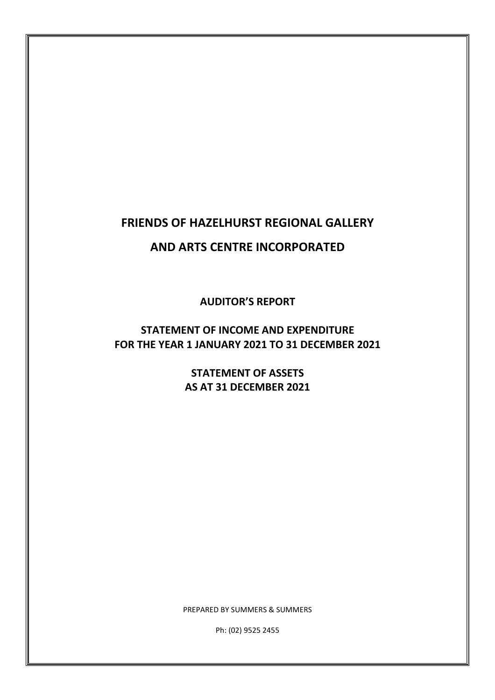## **FRIENDS OF HAZELHURST REGIONAL GALLERY**

### **AND ARTS CENTRE INCORPORATED**

**AUDITOR'S REPORT** 

**STATEMENT OF INCOME AND EXPENDITURE FOR THE YEAR 1 JANUARY 2021 TO 31 DECEMBER 2021** 

> **STATEMENT OF ASSETS AS AT 31 DECEMBER 2021**

PREPARED BY SUMMERS & SUMMERS

Ph: (02) 9525 2455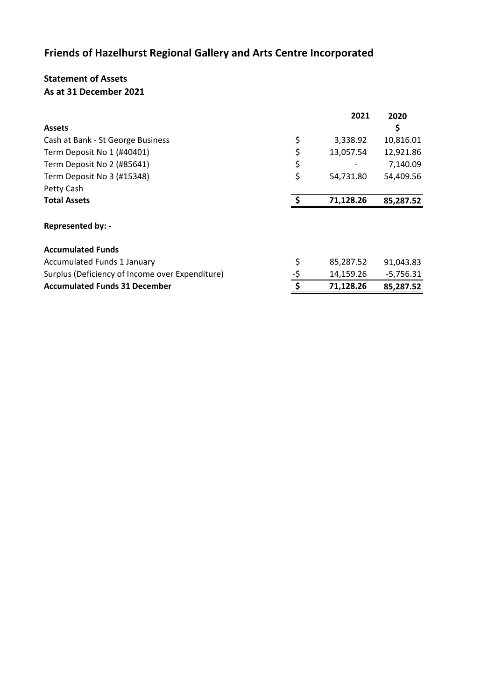## **Friends of Hazelhurst Regional Gallery and Arts Centre Incorporated**

#### **Statement of Assets As at 31 December 2021**

|                                                 |     | 2021      | 2020        |
|-------------------------------------------------|-----|-----------|-------------|
| <b>Assets</b>                                   |     |           | \$          |
| Cash at Bank - St George Business               | \$  | 3,338.92  | 10,816.01   |
| Term Deposit No 1 (#40401)                      | \$  | 13,057.54 | 12,921.86   |
| Term Deposit No 2 (#85641)                      | \$  |           | 7,140.09    |
| Term Deposit No 3 (#15348)                      | \$  | 54,731.80 | 54,409.56   |
| Petty Cash                                      |     |           |             |
| <b>Total Assets</b>                             | Ś   | 71,128.26 | 85,287.52   |
| Represented by: -                               |     |           |             |
| <b>Accumulated Funds</b>                        |     |           |             |
| <b>Accumulated Funds 1 January</b>              | \$  | 85,287.52 | 91,043.83   |
| Surplus (Deficiency of Income over Expenditure) | -\$ | 14,159.26 | $-5,756.31$ |
| <b>Accumulated Funds 31 December</b>            | \$  | 71,128.26 | 85,287.52   |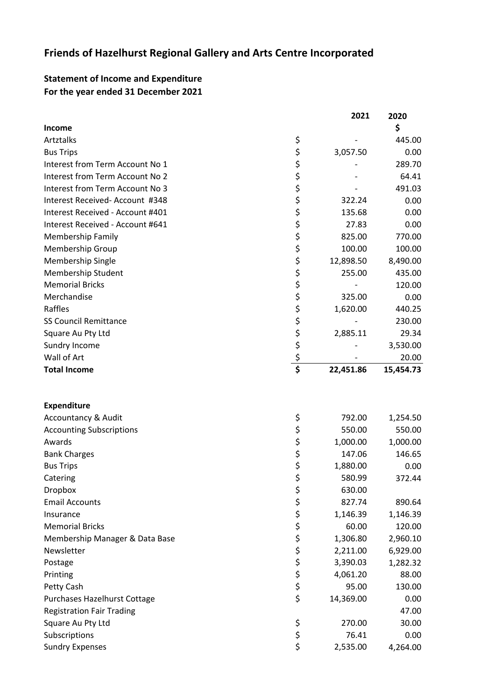## **Friends of Hazelhurst Regional Gallery and Arts Centre Incorporated**

### **Statement of Income and Expenditure For the year ended 31 December 2021**

|                                  |                    | 2021      | 2020      |  |
|----------------------------------|--------------------|-----------|-----------|--|
| Income<br>Artztalks              |                    |           | \$        |  |
|                                  | \$                 |           | 445.00    |  |
| <b>Bus Trips</b>                 |                    | 3,057.50  | 0.00      |  |
| Interest from Term Account No 1  | \$<br>\$           |           | 289.70    |  |
| Interest from Term Account No 2  |                    |           | 64.41     |  |
| Interest from Term Account No 3  |                    |           | 491.03    |  |
| Interest Received-Account #348   |                    | 322.24    | 0.00      |  |
| Interest Received - Account #401 |                    | 135.68    | 0.00      |  |
| Interest Received - Account #641 |                    | 27.83     | 0.00      |  |
| <b>Membership Family</b>         |                    | 825.00    | 770.00    |  |
| Membership Group                 |                    | 100.00    | 100.00    |  |
| Membership Single                |                    | 12,898.50 | 8,490.00  |  |
| <b>Membership Student</b>        |                    | 255.00    | 435.00    |  |
| <b>Memorial Bricks</b>           |                    |           | 120.00    |  |
| Merchandise                      |                    | 325.00    | 0.00      |  |
| Raffles                          |                    | 1,620.00  | 440.25    |  |
| <b>SS Council Remittance</b>     |                    |           | 230.00    |  |
| Square Au Pty Ltd                |                    | 2,885.11  | 29.34     |  |
| Sundry Income                    |                    |           | 3,530.00  |  |
| Wall of Art                      | そうさくさいこう こうこう こうこう |           | 20.00     |  |
| <b>Total Income</b>              |                    | 22,451.86 | 15,454.73 |  |
| <b>Expenditure</b>               |                    |           |           |  |
| <b>Accountancy &amp; Audit</b>   | \$                 | 792.00    | 1,254.50  |  |
| <b>Accounting Subscriptions</b>  |                    | 550.00    | 550.00    |  |
| Awards                           |                    | 1,000.00  | 1,000.00  |  |
| <b>Bank Charges</b>              | やなみ                | 147.06    | 146.65    |  |
| <b>Bus Trips</b>                 |                    | 1,880.00  | 0.00      |  |
| Catering                         |                    | 580.99    | 372.44    |  |
| <b>Dropbox</b>                   |                    | 630.00    |           |  |
| <b>Email Accounts</b>            | ぐぐら ぐっか こうか        | 827.74    | 890.64    |  |
| Insurance                        |                    | 1,146.39  | 1,146.39  |  |
| <b>Memorial Bricks</b>           |                    | 60.00     | 120.00    |  |
| Membership Manager & Data Base   |                    | 1,306.80  | 2,960.10  |  |
| Newsletter                       |                    | 2,211.00  | 6,929.00  |  |
| Postage                          |                    | 3,390.03  | 1,282.32  |  |
| Printing                         |                    | 4,061.20  | 88.00     |  |
| Petty Cash                       |                    | 95.00     | 130.00    |  |
| Purchases Hazelhurst Cottage     |                    | 14,369.00 | 0.00      |  |
| <b>Registration Fair Trading</b> |                    |           | 47.00     |  |
| Square Au Pty Ltd                | \$                 | 270.00    | 30.00     |  |
| Subscriptions                    | \$                 | 76.41     | 0.00      |  |
| <b>Sundry Expenses</b>           | \$                 | 2,535.00  | 4,264.00  |  |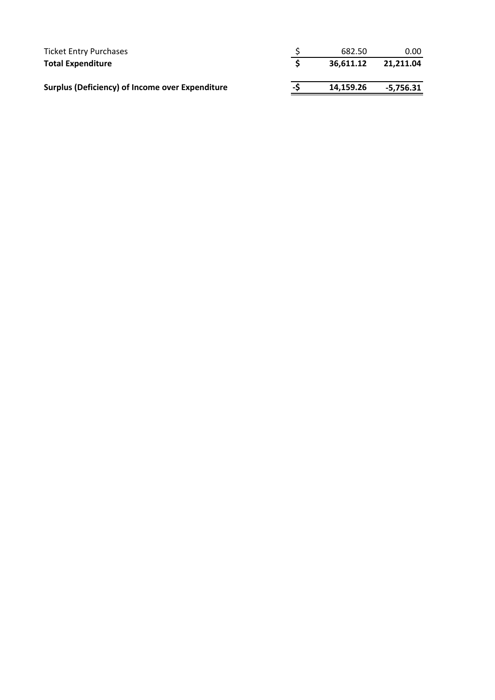| Ticket Entry Purchases                                 |    | 682.50    | 0.00      |
|--------------------------------------------------------|----|-----------|-----------|
| <b>Total Expenditure</b>                               |    | 36.611.12 | 21.211.04 |
| <b>Surplus (Deficiency) of Income over Expenditure</b> | -S | 14,159.26 | -5,756.31 |